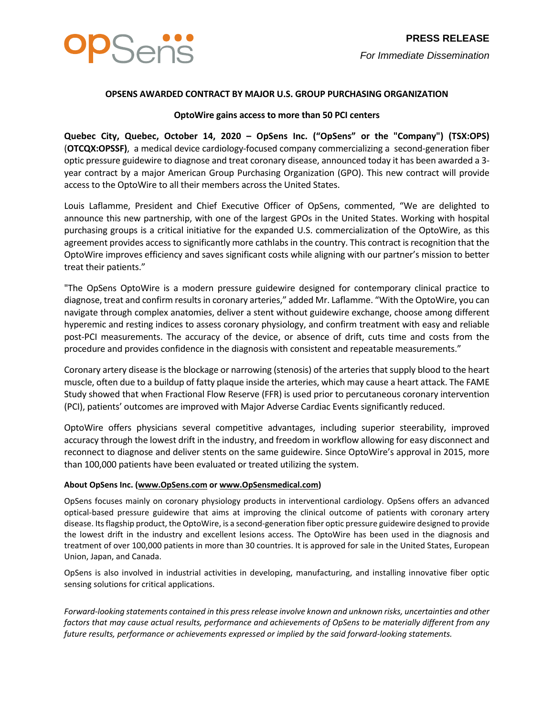

## **OPSENS AWARDED CONTRACT BY MAJOR U.S. GROUP PURCHASING ORGANIZATION**

## **OptoWire gains access to more than 50 PCI centers**

**Quebec City, Quebec, October 14, 2020 – OpSens Inc. ("OpSens" or the "Company") (TSX:OPS)** (**OTCQX:OPSSF)**, a medical device cardiology-focused company commercializing a second-generation fiber optic pressure guidewire to diagnose and treat coronary disease, announced today it has been awarded a 3 year contract by a major American Group Purchasing Organization (GPO). This new contract will provide access to the OptoWire to all their members across the United States.

Louis Laflamme, President and Chief Executive Officer of OpSens, commented, "We are delighted to announce this new partnership, with one of the largest GPOs in the United States. Working with hospital purchasing groups is a critical initiative for the expanded U.S. commercialization of the OptoWire, as this agreement provides access to significantly more cathlabs in the country. This contract is recognition that the OptoWire improves efficiency and saves significant costs while aligning with our partner's mission to better treat their patients."

"The OpSens OptoWire is a modern pressure guidewire designed for contemporary clinical practice to diagnose, treat and confirm results in coronary arteries," added Mr. Laflamme. "With the OptoWire, you can navigate through complex anatomies, deliver a stent without guidewire exchange, choose among different hyperemic and resting indices to assess coronary physiology, and confirm treatment with easy and reliable post-PCI measurements. The accuracy of the device, or absence of drift, cuts time and costs from the procedure and provides confidence in the diagnosis with consistent and repeatable measurements."

Coronary artery disease is the blockage or narrowing (stenosis) of the arteries that supply blood to the heart muscle, often due to a buildup of fatty plaque inside the arteries, which may cause a heart attack. The FAME Study showed that when Fractional Flow Reserve (FFR) is used prior to percutaneous coronary intervention (PCI), patients' outcomes are improved with Major Adverse Cardiac Events significantly reduced.

OptoWire offers physicians several competitive advantages, including superior steerability, improved accuracy through the lowest drift in the industry, and freedom in workflow allowing for easy disconnect and reconnect to diagnose and deliver stents on the same guidewire. Since OptoWire's approval in 2015, more than 100,000 patients have been evaluated or treated utilizing the system.

## **About OpSens Inc. [\(www.OpSens.com](http://www.opsens.com/) o[r www.OpSensmedical.com\)](http://www.opsensmedical.com/)**

OpSens focuses mainly on coronary physiology products in interventional cardiology. OpSens offers an advanced optical-based pressure guidewire that aims at improving the clinical outcome of patients with coronary artery disease. Its flagship product, the OptoWire, is a second-generation fiber optic pressure guidewire designed to provide the lowest drift in the industry and excellent lesions access. The OptoWire has been used in the diagnosis and treatment of over 100,000 patients in more than 30 countries. It is approved for sale in the United States, European Union, Japan, and Canada.

OpSens is also involved in industrial activities in developing, manufacturing, and installing innovative fiber optic sensing solutions for critical applications.

*Forward-looking statements contained in this press release involve known and unknown risks, uncertainties and other factors that may cause actual results, performance and achievements of OpSens to be materially different from any future results, performance or achievements expressed or implied by the said forward-looking statements.*